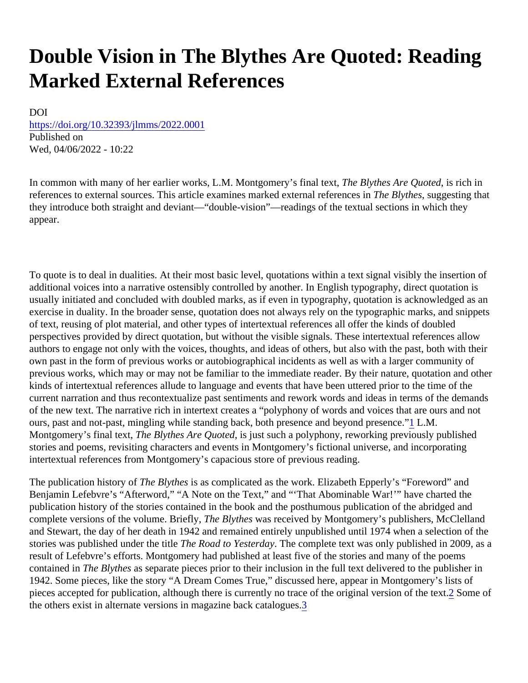# <span id="page-0-0"></span>Double Vision in The Blythes Are Quoted: Reading Marked External References

DOI [https://doi.org/10.32393/jlmms/2022.00](https://doi.org/10.32393/jlmms/2022.0001)01 Published on Wed, 04/06/2022 - 10:22

In common with many of her earlier works, L.M. Montgomery's final to the Blythes Are Quoted rich in references to external sources. This article examines marked external referements in the suggesting that they introduce both straight and deviant—"double-vision"—readings of the textual sections in which they appear.

To quote is to deal in dualities. At their most basic level, quotations within a text signal visibly the insertion of additional voices into a narrative ostensibly controlled by another. In English typography, direct quotation is usually initiated and concluded with doubled marks, as if even in typography, quotation is acknowledged as a exercise in duality. In the broader sense, quotation does not always rely on the typographic marks, and snipp of text, reusing of plot material, and other types of intertextual references all offer the kinds of doubled perspectives provided by direct quotation, but without the visible signals. These intertextual references allow authors to engage not only with the voices, thoughts, and ideas of others, but also with the past, both with the own past in the form of previous works or autobiographical incidents as well as with a larger community of previous works, which may or may not be familiar to the immediate reader. By their nature, quotation and othe kinds of intertextual references allude to language and events that have been uttered prior to the time of the current narration and thus recontextualize past sentiments and rework words and ideas in terms of the demar of the new text. The narrative rich in intertext creates a "polyphony of words and voices that are ours and not ours, past and not-past, mingling while standing back, both p[re](#page-10-0)sence and beyond pies ance." Montgomery's final text, The Blythes Are Quoted just such a polyphony, reworking previously published stories and poems, revisiting characters and events in Montgomery's fictional universe, and incorporating intertextual references from Montgomery's capacious store of previous reading.

The publication history of the Blythess as complicated as the work. Elizabeth Epperly's "Foreword" and Benjamin Lefebvre's "Afterword," "A Note on the Text," and "'That Abominable War!'" have charted the publication history of the stories contained in the book and the posthumous publication of the abridged and complete versions of the volume. Briefly, e Blythes was received by Montgomery's publishers, McClelland and Stewart, the day of her death in 1942 and remained entirely unpublished until 1974 when a selection of the stories was published under the tille Road to Yesterday he complete text was only published in 2009, as a result of Lefebvre's efforts. Montgomery had published at least five of the stories and many of the poems contained in The Blythes as separate pieces prior to their inclusion in the full text delivered to the publisher in 1942. Some pieces, like the story "A Dream Comes True," discussed here, appear in Montgomery's lists of pieces accepted for publication, although [t](#page-10-0)here is currently no trace of the original version of also the tof the others exist in alternate versions in magazine back cata[lo](#page-10-0)gues.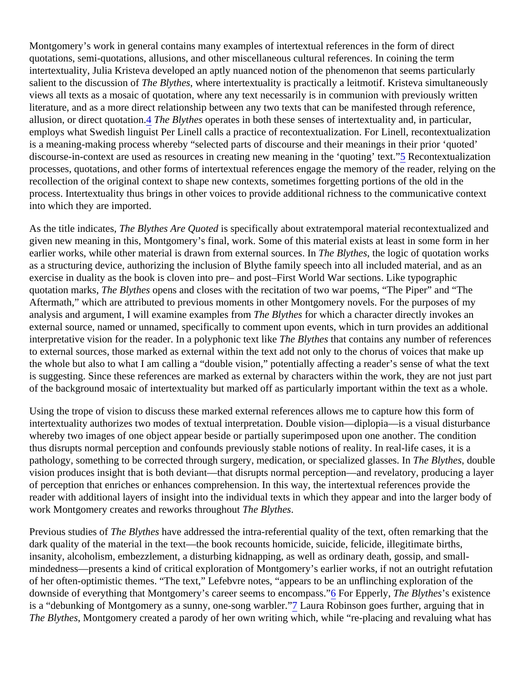<span id="page-1-0"></span>Montgomery's work in general contains many examples of intertextual references in the form of direct quotations, semi-quotations, allusions, and other miscellaneous cultural references. In coining the term intertextuality, Julia Kristeva developed an aptly nuanced notion of the phenomenon that seems particularly salient to the discussion  $\delta$ he Blytheswhere intertextuality is practically a leitmotif. Kristeva simultaneously views all texts as a mosaic of quotation, where any text necessarily is in communion with previously written literature, and as a more direct relationship between any two texts that can be manifested through reference, allusi[on](#page-10-0), or direct quotation. The Blythe sperates in both these senses of intertextuality and, in particular, employs what Swedish linguist Per Linell calls a practice of recontextualization. For Linell, recontextualization is a meaning-making process whereby "selected parts of discourse and their meanings in their prior 'quoted' discourse-in-context are used as resources in creati[ng](#page-10-0) new meaning in the 'quoting Reconditextualization processes, quotations, and other forms of intertextual references engage the memory of the reader, relying on recollection of the original context to shape new contexts, sometimes forgetting portions of the old in the process. Intertextuality thus brings in other voices to provide additional richness to the communicative contex into which they are imported.

As the title indicates, The Blythes Are Quoted specifically about extratemporal material recontextualized and given new meaning in this, Montgomery's final, work. Some of this material exists at least in some form in her earlier works, while other material is drawn from external sourcerend and Blythes the logic of quotation works as a structuring device, authorizing the inclusion of Blythe family speech into all included material, and as an exercise in duality as the book is cloven into pre– and post–First World War sections. Like typographic quotation marks, The Blythes opens and closes with the recitation of two war poems, "The Piper" and "The Aftermath," which are attributed to previous moments in other Montgomery novels. For the purposes of my analysis and argument, I will examine examples flome Blythes for which a character directly invokes an external source, named or unnamed, specifically to comment upon events, which in turn provides an addition interpretative vision for the reader. In a polyphonic text like Blythes hat contains any number of references to external sources, those marked as external within the text add not only to the chorus of voices that make u the whole but also to what I am calling a "double vision," potentially affecting a reader's sense of what the tex is suggesting. Since these references are marked as external by characters within the work, they are not just of the background mosaic of intertextuality but marked off as particularly important within the text as a whole.

Using the trope of vision to discuss these marked external references allows me to capture how this form of intertextuality authorizes two modes of textual interpretation. Double vision—diplopia—is a visual disturbance whereby two images of one object appear beside or partially superimposed upon one another. The condition thus disrupts normal perception and confounds previously stable notions of reality. In real-life cases, it is a pathology, something to be corrected through surgery, medication, or specialized glasse. Blythes, double vision produces insight that is both deviant—that disrupts normal perception—and revelatory, producing a lay of perception that enriches or enhances comprehension. In this way, the intertextual references provide the reader with additional layers of insight into the individual texts in which they appear and into the larger body o work Montgomery creates and reworks through Thut Blythes

Previous studies of the Blytheshave addressed the intra-referential quality of the text, often remarking that the dark quality of the material in the text—the book recounts homicide, suicide, felicide, illegitimate births, insanity, alcoholism, embezzlement, a disturbing kidnapping, as well as ordinary death, gossip, and smallmindedness—presents a kind of critical exploration of Montgomery's earlier works, if not an outright refutation of her often-optimistic themes. "The text," Lefebvre notes, "appears to be an unflinching exploration of the downside of everything that Montgomery's career seems to enco[mp](#page-10-0)ass. Epperly, The Blythe's existence is a "debunking of Montgomery as a sunny, one-song wa[rb](#page-10-0)leaura Robinson goes further, arguing that in The Blythes, Montgomery created a parody of her own writing which, while "re-placing and revaluing what has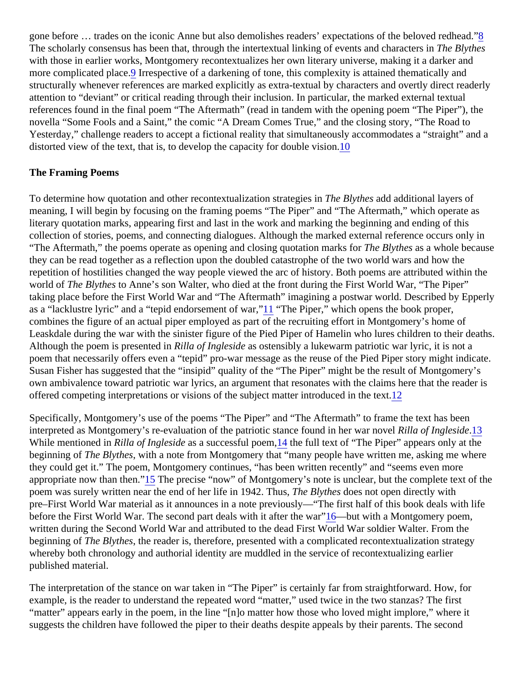<span id="page-2-0"></span>gone before ... trades on the iconic Anne but also demolishes readers' expectations of the belove[d r](#page-10-0)edhead." The scholarly consensus has been that, through the intertextual linking of events and challared by thes with those in earlier works, Montgomery recontextualizes her own literary universe, making it a darker and more complicated pla[ce](#page-10-0)lrespective of a darkening of tone, this complexity is attained thematically and structurally whenever references are marked explicitly as extra-textual by characters and overtly direct reader attention to "deviant" or critical reading through their inclusion. In particular, the marked external textual references found in the final poem "The Aftermath" (read in tandem with the opening poem "The Piper"), the novella "Some Fools and a Saint," the comic "A Dream Comes True," and the closing story, "The Road to Yesterday," challenge readers to accept a fictional reality that simultaneously accommodates a "straight" and distorted view of the text, that is, to develop the capacity for double [vis](#page-10-0)ion.

### The Framing Poems

To determine how quotation and other recontextualization strategles in Blythes add additional layers of meaning, I will begin by focusing on the framing poems "The Piper" and "The Aftermath," which operate as literary quotation marks, appearing first and last in the work and marking the beginning and ending of this collection of stories, poems, and connecting dialogues. Although the marked external reference occurs only in "The Aftermath," the poems operate as opening and closing quotation ma**rke for** the sas a whole because they can be read together as a reflection upon the doubled catastrophe of the two world wars and how the repetition of hostilities changed the way people viewed the arc of history. Both poems are attributed within the world of The Blytheso Anne's son Walter, who died at the front during the First World War, "The Piper" taking place before the First World War and "The Aftermath" imagining a postwar world. Described by Epperly as a "lacklustre lyric" and a "tepid endorsement of [war](#page-10-0), "The Piper," which opens the book proper, combines the figure of an actual piper employed as part of the recruiting effort in Montgomery's home of Leaskdale during the war with the sinister figure of the Pied Piper of Hamelin who lures children to their death Although the poem is presented Rilla of Ingleside as ostensibly a lukewarm patriotic war lyric, it is not a poem that necessarily offers even a "tepid" pro-war message as the reuse of the Pied Piper story might indicate. Susan Fisher has suggested that the "insipid" quality of the "The Piper" might be the result of Montgomery's own ambivalence toward patriotic war lyrics, an argument that resonates with the claims here that the reader offered competing interpretations or visions of [the](#page-10-0) subject matter introduced in the text.

Specifically, Montgomery's use of the poems "The Piper" and "The Aftermath" to frame the text has been interpreted as Montgomery's re-evaluation of the patriotic stance found in her waRilla of Inglesid[e.13](#page-10-0) While mentioned in Rilla of Ingleside as a successful poet at the full text of "The Piper" appears only at the beginning of The Blythes with a note from Montgomery that "many people have written me, asking me where they could get it." The poem, Montgomery continues, "has been written recently" and "seems even more appropriate now than the[n."](#page-10-0) The precise "now" of Montgomery's note is unclear, but the complete text of the poem was surely written near the end of her life in 1942. Thus Blythes does not open directly with pre–First World War material as it announces in a note previously—"The first half of this book deals with life before the First World War. The second part deals with it after th[e w](#page-10-0)are with a Montgomery poem, written during the Second World War and attributed to the dead First World War soldier Walter. From the beginning of The Blythesthe reader is, therefore, presented with a complicated recontextualization strategy whereby both chronology and authorial identity are muddled in the service of recontextualizing earlier published material.

The interpretation of the stance on war taken in "The Piper" is certainly far from straightforward. How, for example, is the reader to understand the repeated word "matter," used twice in the two stanzas? The first "matter" appears early in the poem, in the line "[n]o matter how those who loved might implore," where it suggests the children have followed the piper to their deaths despite appeals by their parents. The second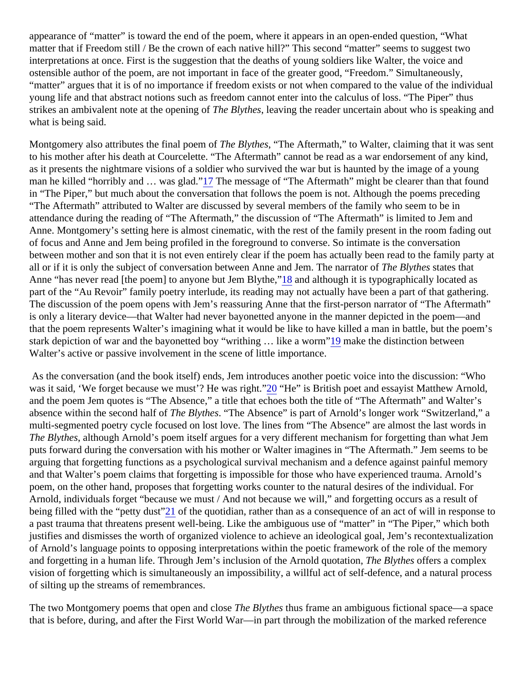<span id="page-3-0"></span>appearance of "matter" is toward the end of the poem, where it appears in an open-ended question, "What matter that if Freedom still / Be the crown of each native hill?" This second "matter" seems to suggest two interpretations at once. First is the suggestion that the deaths of young soldiers like Walter, the voice and ostensible author of the poem, are not important in face of the greater good, "Freedom." Simultaneously, "matter" argues that it is of no importance if freedom exists or not when compared to the value of the individua young life and that abstract notions such as freedom cannot enter into the calculus of loss. "The Piper" thus strikes an ambivalent note at the opening to Blythes leaving the reader uncertain about who is speaking and what is being said.

Montgomery also attributes the final poem Tole Blythes "The Aftermath," to Walter, claiming that it was sent to his mother after his death at Courcelette. "The Aftermath" cannot be read as a war endorsement of any kin as it presents the nightmare visions of a soldier who survived the war but is haunted by the image of a young man he killed "horribly and ... was gla[d."](#page-11-0) The message of "The Aftermath" might be clearer than that found in "The Piper," but much about the conversation that follows the poem is not. Although the poems preceding "The Aftermath" attributed to Walter are discussed by several members of the family who seem to be in attendance during the reading of "The Aftermath," the discussion of "The Aftermath" is limited to Jem and Anne. Montgomery's setting here is almost cinematic, with the rest of the family present in the room fading ou of focus and Anne and Jem being profiled in the foreground to converse. So intimate is the conversation between mother and son that it is not even entirely clear if the poem has actually been read to the family part all or if it is only the subject of conversation between Anne and Jem. The narrature Bilythesstates that Anne "has never read [the poem] to anyone but Jem Bl[yth](#page-11-0)e, "although it is typographically located as part of the "Au Revoir" family poetry interlude, its reading may not actually have been a part of that gathering. The discussion of the poem opens with Jem's reassuring Anne that the first-person narrator of "The Aftermath" is only a literary device—that Walter had never bayonetted anyone in the manner depicted in the poem—and that the poem represents Walter's imagining what it would be like to have killed a man in battle, but the poem stark depiction of war and the bayonetted boy "writhing ... like a wommake the distinction between Walter's active or passive involvement in the scene of little importance.

As the conversation (and the book itself) ends, Jem introduces another poetic voice into the discussion: "Whe was it said, 'We forget because we must'? He was r[igh](#page-11-0)t. "He" is British poet and essayist Matthew Arnold, and the poem Jem quotes is "The Absence," a title that echoes both the title of "The Aftermath" and Walter's absence within the second halflote Blythes The Absence" is part of Arnold's longer work "Switzerland," a multi-segmented poetry cycle focused on lost love. The lines from "The Absence" are almost the last words in The Blythesalthough Arnold's poem itself argues for a very different mechanism for forgetting than what Jem puts forward during the conversation with his mother or Walter imagines in "The Aftermath." Jem seems to be arguing that forgetting functions as a psychological survival mechanism and a defence against painful memor and that Walter's poem claims that forgetting is impossible for those who have experienced trauma. Arnold's poem, on the other hand, proposes that forgetting works counter to the natural desires of the individual. For Arnold, individuals forget "because we must / And not because we will," and forgetting occurs as a result of being filled with the "petty dust" of the quotidian, rather than as a consequence of an act of will in response to a past trauma that threatens present well-being. Like the ambiguous use of "matter" in "The Piper," which bot justifies and dismisses the worth of organized violence to achieve an ideological goal, Jem's recontextualizati of Arnold's language points to opposing interpretations within the poetic framework of the role of the memory and forgetting in a human life. Through Jem's inclusion of the Arnold quotation, Blythe offers a complex vision of forgetting which is simultaneously an impossibility, a willful act of self-defence, and a natural process of silting up the streams of remembrances.

The two Montgomery poems that open and close Blythes thus frame an ambiguous fictional space—a space that is before, during, and after the First World War—in part through the mobilization of the marked reference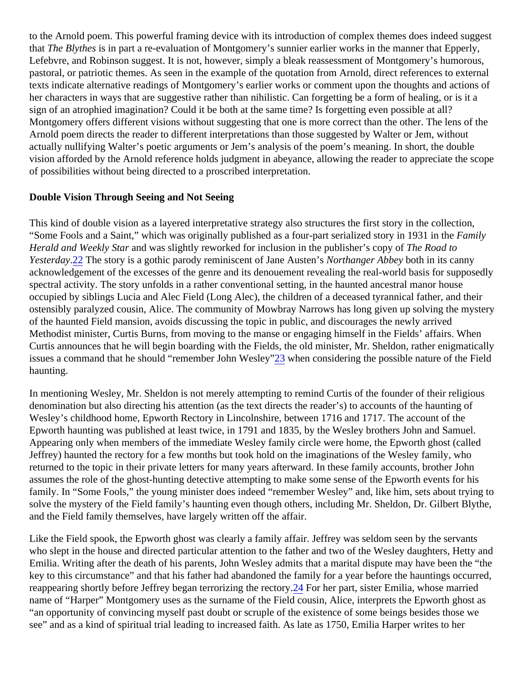<span id="page-4-0"></span>to the Arnold poem. This powerful framing device with its introduction of complex themes does indeed suggest that The Blythes's in part a re-evaluation of Montgomery's sunnier earlier works in the manner that Epperly, Lefebvre, and Robinson suggest. It is not, however, simply a bleak reassessment of Montgomery's humorous, pastoral, or patriotic themes. As seen in the example of the quotation from Arnold, direct references to extern texts indicate alternative readings of Montgomery's earlier works or comment upon the thoughts and actions of her characters in ways that are suggestive rather than nihilistic. Can forgetting be a form of healing, or is it a sign of an atrophied imagination? Could it be both at the same time? Is forgetting even possible at all? Montgomery offers different visions without suggesting that one is more correct than the other. The lens of the Arnold poem directs the reader to different interpretations than those suggested by Walter or Jem, without actually nullifying Walter's poetic arguments or Jem's analysis of the poem's meaning. In short, the double vision afforded by the Arnold reference holds judgment in abeyance, allowing the reader to appreciate the sco of possibilities without being directed to a proscribed interpretation.

### Double Vision Through Seeing and Not Seeing

This kind of double vision as a layered interpretative strategy also structures the first story in the collection, "Some Fools and a Saint," which was originally published as a four-part serialized story in 193 Hamillye Herald and Weekly Staand was slightly reworked for inclusion in the publisher's copy has Road to Yesterday<sup>2</sup>2 The story is a gothic parody reminiscent of Jane Auster ith anger Abbey oth in its canny acknowledgement of the excesses of the genre and its denouement revealing the real-world basis for suppos spectral activity. The story unfolds in a rather conventional setting, in the haunted ancestral manor house occupied by siblings Lucia and Alec Field (Long Alec), the children of a deceased tyrannical father, and their ostensibly paralyzed cousin, Alice. The community of Mowbray Narrows has long given up solving the myster of the haunted Field mansion, avoids discussing the topic in public, and discourages the newly arrived Methodist minister, Curtis Burns, from moving to the manse or engaging himself in the Fields' affairs. When Curtis announces that he will begin boarding with the Fields, the old minister, Mr. Sheldon, rather enigmatically issu[es](#page-11-0) a command that he should "remember John Wesley len considering the possible nature of the Field haunting.

In mentioning Wesley, Mr. Sheldon is not merely attempting to remind Curtis of the founder of their religious denomination but also directing his attention (as the text directs the reader's) to accounts of the haunting of Wesley's childhood home, Epworth Rectory in Lincolnshire, between 1716 and 1717. The account of the Epworth haunting was published at least twice, in 1791 and 1835, by the Wesley brothers John and Samuel. Appearing only when members of the immediate Wesley family circle were home, the Epworth ghost (called Jeffrey) haunted the rectory for a few months but took hold on the imaginations of the Wesley family, who returned to the topic in their private letters for many years afterward. In these family accounts, brother John assumes the role of the ghost-hunting detective attempting to make some sense of the Epworth events for his family. In "Some Fools," the young minister does indeed "remember Wesley" and, like him, sets about trying to solve the mystery of the Field family's haunting even though others, including Mr. Sheldon, Dr. Gilbert Blythe, and the Field family themselves, have largely written off the affair.

Like the Field spook, the Epworth ghost was clearly a family affair. Jeffrey was seldom seen by the servants who slept in the house and directed particular attention to the father and two of the Wesley daughters, Hetty and Emilia. Writing after the death of his parents, John Wesley admits that a marital dispute may have been the "t key to this circumstance" and that his father had abandoned the family for a year before the hauntings occurre reappearing shortly before Jeffrey began terrorizing the r[ecto](#page-11-0)rs her part, sister Emilia, whose married name of "Harper" Montgomery uses as the surname of the Field cousin, Alice, interprets the Epworth ghost as "an opportunity of convincing myself past doubt or scruple of the existence of some beings besides those we see" and as a kind of spiritual trial leading to increased faith. As late as 1750, Emilia Harper writes to her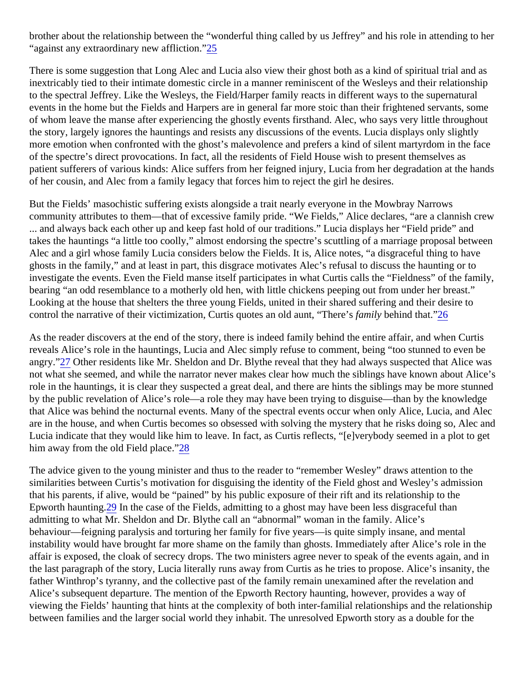<span id="page-5-0"></span>brother about the relationship between the "wonderful thing called by us Jeffrey" and his role in attending to h "against any extraordinary new afflictio<sup>[n."](#page-11-0)</sup>

There is some suggestion that Long Alec and Lucia also view their ghost both as a kind of spiritual trial and a inextricably tied to their intimate domestic circle in a manner reminiscent of the Wesleys and their relationship to the spectral Jeffrey. Like the Wesleys, the Field/Harper family reacts in different ways to the supernatural events in the home but the Fields and Harpers are in general far more stoic than their frightened servants, so of whom leave the manse after experiencing the ghostly events firsthand. Alec, who says very little throughout the story, largely ignores the hauntings and resists any discussions of the events. Lucia displays only slightly more emotion when confronted with the ghost's malevolence and prefers a kind of silent martyrdom in the face of the spectre's direct provocations. In fact, all the residents of Field House wish to present themselves as patient sufferers of various kinds: Alice suffers from her feigned injury, Lucia from her degradation at the hand of her cousin, and Alec from a family legacy that forces him to reject the girl he desires.

But the Fields' masochistic suffering exists alongside a trait nearly everyone in the Mowbray Narrows community attributes to them—that of excessive family pride. "We Fields," Alice declares, "are a clannish crew ... and always back each other up and keep fast hold of our traditions." Lucia displays her "Field pride" and takes the hauntings "a little too coolly," almost endorsing the spectre's scuttling of a marriage proposal betwe Alec and a girl whose family Lucia considers below the Fields. It is, Alice notes, "a disgraceful thing to have ghosts in the family," and at least in part, this disgrace motivates Alec's refusal to discuss the haunting or to investigate the events. Even the Field manse itself participates in what Curtis calls the "Fieldness" of the fami bearing "an odd resemblance to a motherly old hen, with little chickens peeping out from under her breast." Looking at the house that shelters the three young Fields, united in their shared suffering and their desire to control the narrative of their victimization, Curtis quotes an old aunt, "There is behind that.<sup>26</sup>

As the reader discovers at the end of the story, there is indeed family behind the entire affair, and when Curtis reveals Alice's role in the hauntings, Lucia and Alec simply refuse to comment, being "too stunned to even be angry.["27](#page-11-0) Other residents like Mr. Sheldon and Dr. Blythe reveal that they had always suspected that Alice wa not what she seemed, and while the narrator never makes clear how much the siblings have known about Ali role in the hauntings, it is clear they suspected a great deal, and there are hints the siblings may be more stui by the public revelation of Alice's role—a role they may have been trying to disguise—than by the knowledge that Alice was behind the nocturnal events. Many of the spectral events occur when only Alice, Lucia, and Ale are in the house, and when Curtis becomes so obsessed with solving the mystery that he risks doing so, Alec Lucia indicate that they would like him to leave. In fact, as Curtis reflects, "[e]verybody seemed in a plot to get him away from the old Field place  $8$ 

The advice given to the young minister and thus to the reader to "remember Wesley" draws attention to the similarities between Curtis's motivation for disguising the identity of the Field ghost and Wesley's admission that his parents, if alive, would be "pained" by his public exposure of their rift and its relationship to the Epworth hauntin $\mathcal{Q}9$  In the case of the Fields, admitting to a ghost may have been less disgraceful than admitting to what Mr. Sheldon and Dr. Blythe call an "abnormal" woman in the family. Alice's behaviour—feigning paralysis and torturing her family for five years—is quite simply insane, and mental instability would have brought far more shame on the family than ghosts. Immediately after Alice's role in the affair is exposed, the cloak of secrecy drops. The two ministers agree never to speak of the events again, and the last paragraph of the story, Lucia literally runs away from Curtis as he tries to propose. Alice's insanity, the father Winthrop's tyranny, and the collective past of the family remain unexamined after the revelation and Alice's subsequent departure. The mention of the Epworth Rectory haunting, however, provides a way of viewing the Fields' haunting that hints at the complexity of both inter-familial relationships and the relationship between families and the larger social world they inhabit. The unresolved Epworth story as a double for the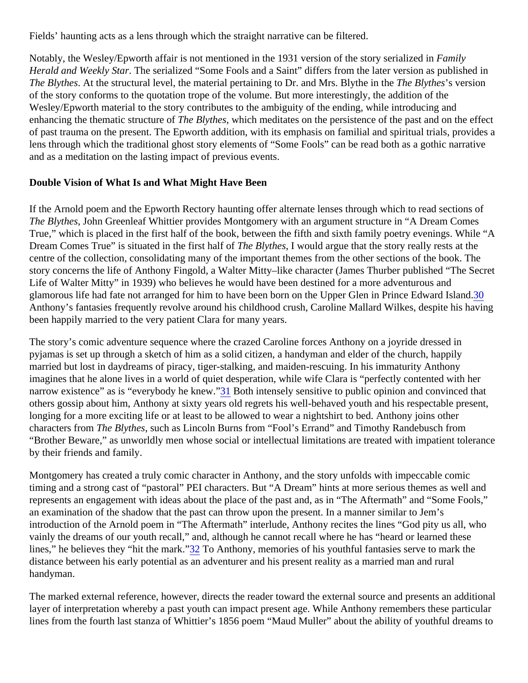<span id="page-6-0"></span>Fields' haunting acts as a lens through which the straight narrative can be filtered.

Notably, the Wesley/Epworth affair is not mentioned in the 1931 version of the story serial Examily Herald and Weekly StalThe serialized "Some Fools and a Saint" differs from the later version as published in The BlythesAt the structural level, the material pertaining to Dr. and Mrs. Blythe in the Blythe's version of the story conforms to the quotation trope of the volume. But more interestingly, the addition of the Wesley/Epworth material to the story contributes to the ambiguity of the ending, while introducing and enhancing the thematic structure To fe Blythes which meditates on the persistence of the past and on the effect of past trauma on the present. The Epworth addition, with its emphasis on familial and spiritual trials, provides lens through which the traditional ghost story elements of "Some Fools" can be read both as a gothic narrative and as a meditation on the lasting impact of previous events.

Double Vision of What Is and What Might Have Been

If the Arnold poem and the Epworth Rectory haunting offer alternate lenses through which to read sections of The BlythesJohn Greenleaf Whittier provides Montgomery with an argument structure in "A Dream Comes True," which is placed in the first half of the book, between the fifth and sixth family poetry evenings. While "A Dream Comes True" is situated in the first hall Tote Blythes, I would argue that the story really rests at the centre of the collection, consolidating many of the important themes from the other sections of the book. The story concerns the life of Anthony Fingold, a Walter Mitty–like character (James Thurber published "The Secr Life of Walter Mitty" in 1939) who believes he would have been destined for a more adventurous and glamorous life had fate not arranged for him to have been born on the Upper Glen in Prince Edw[ard](#page-11-0) Island. Anthony's fantasies frequently revolve around his childhood crush, Caroline Mallard Wilkes, despite his having been happily married to the very patient Clara for many years.

The story's comic adventure sequence where the crazed Caroline forces Anthony on a joyride dressed in pyjamas is set up through a sketch of him as a solid citizen, a handyman and elder of the church, happily married but lost in daydreams of piracy, tiger-stalking, and maiden-rescuing. In his immaturity Anthony imagines that he alone lives in a world of quiet desperation, while wife Clara is "perfectly contented with her narrow existence" as is "everybody he kn[ew.](#page-11-0) Both intensely sensitive to public opinion and convinced that others gossip about him, Anthony at sixty years old regrets his well-behaved youth and his respectable prese longing for a more exciting life or at least to be allowed to wear a nightshirt to bed. Anthony joins other characters from The Blythes such as Lincoln Burns from "Fool's Errand" and Timothy Randebusch from "Brother Beware," as unworldly men whose social or intellectual limitations are treated with impatient tolerance by their friends and family.

Montgomery has created a truly comic character in Anthony, and the story unfolds with impeccable comic timing and a strong cast of "pastoral" PEI characters. But "A Dream" hints at more serious themes as well and represents an engagement with ideas about the place of the past and, as in "The Aftermath" and "Some Fools an examination of the shadow that the past can throw upon the present. In a manner similar to Jem's introduction of the Arnold poem in "The Aftermath" interlude, Anthony recites the lines "God pity us all, who vainly the dreams of our youth recall," and, although he cannot recall where he has "heard or learned these lines," he believes they "hit the mark<sup>2</sup> To Anthony, memories of his youthful fantasies serve to mark the distance between his early potential as an adventurer and his present reality as a married man and rural handyman.

The marked external reference, however, directs the reader toward the external source and presents an additional layer of interpretation whereby a past youth can impact present age. While Anthony remembers these particular lines from the fourth last stanza of Whittier's 1856 poem "Maud Muller" about the ability of youthful dreams to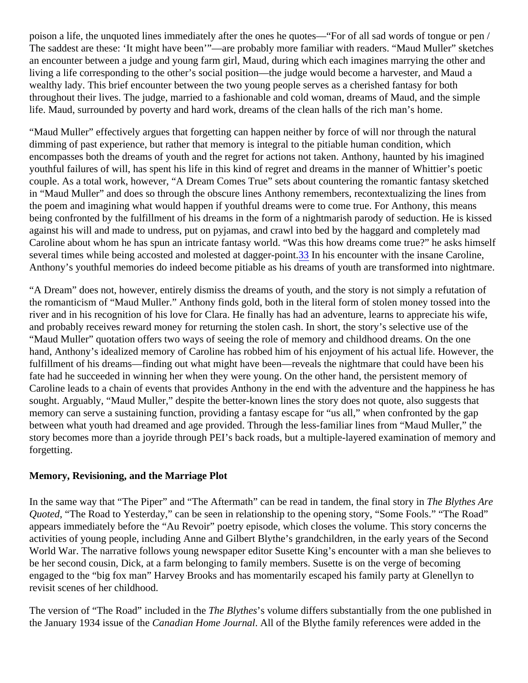<span id="page-7-0"></span>poison a life, the unquoted lines immediately after the ones he quotes—"For of all sad words of tongue or per The saddest are these: 'It might have been'"—are probably more familiar with readers. "Maud Muller" sketches an encounter between a judge and young farm girl, Maud, during which each imagines marrying the other and living a life corresponding to the other's social position—the judge would become a harvester, and Maud a wealthy lady. This brief encounter between the two young people serves as a cherished fantasy for both throughout their lives. The judge, married to a fashionable and cold woman, dreams of Maud, and the simple life. Maud, surrounded by poverty and hard work, dreams of the clean halls of the rich man's home.

"Maud Muller" effectively argues that forgetting can happen neither by force of will nor through the natural dimming of past experience, but rather that memory is integral to the pitiable human condition, which encompasses both the dreams of youth and the regret for actions not taken. Anthony, haunted by his imagine youthful failures of will, has spent his life in this kind of regret and dreams in the manner of Whittier's poetic couple. As a total work, however, "A Dream Comes True" sets about countering the romantic fantasy sketche in "Maud Muller" and does so through the obscure lines Anthony remembers, recontextualizing the lines from the poem and imagining what would happen if youthful dreams were to come true. For Anthony, this means being confronted by the fulfillment of his dreams in the form of a nightmarish parody of seduction. He is kisse against his will and made to undress, put on pyjamas, and crawl into bed by the haggard and completely mac Caroline about whom he has spun an intricate fantasy world. "Was this how dreams come true?" he asks him several times while being accosted and molested at dagge<sup>3</sup> point is encounter with the insane Caroline, Anthony's youthful memories do indeed become pitiable as his dreams of youth are transformed into nightma

"A Dream" does not, however, entirely dismiss the dreams of youth, and the story is not simply a refutation of the romanticism of "Maud Muller." Anthony finds gold, both in the literal form of stolen money tossed into the river and in his recognition of his love for Clara. He finally has had an adventure, learns to appreciate his wife, and probably receives reward money for returning the stolen cash. In short, the story's selective use of the "Maud Muller" quotation offers two ways of seeing the role of memory and childhood dreams. On the one hand, Anthony's idealized memory of Caroline has robbed him of his enjoyment of his actual life. However, the fulfillment of his dreams—finding out what might have been—reveals the nightmare that could have been his fate had he succeeded in winning her when they were young. On the other hand, the persistent memory of Caroline leads to a chain of events that provides Anthony in the end with the adventure and the happiness he sought. Arguably, "Maud Muller," despite the better-known lines the story does not quote, also suggests that memory can serve a sustaining function, providing a fantasy escape for "us all," when confronted by the gap between what youth had dreamed and age provided. Through the less-familiar lines from "Maud Muller," the story becomes more than a joyride through PEI's back roads, but a multiple-layered examination of memory and forgetting.

Memory, Revisioning, and the Marriage Plot

In the same way that "The Piper" and "The Aftermath" can be read in tandem, the final store Buythes Are Quoted, "The Road to Yesterday," can be seen in relationship to the opening story, "Some Fools." "The Road" appears immediately before the "Au Revoir" poetry episode, which closes the volume. This story concerns the activities of young people, including Anne and Gilbert Blythe's grandchildren, in the early years of the Second World War. The narrative follows young newspaper editor Susette King's encounter with a man she believes be her second cousin, Dick, at a farm belonging to family members. Susette is on the verge of becoming engaged to the "big fox man" Harvey Brooks and has momentarily escaped his family party at Glenellyn to revisit scenes of her childhood.

The version of "The Road" included in the Blythe's volume differs substantially from the one published in the January 1934 issue of the Canadian Home Journal and the Blythe family references were added in the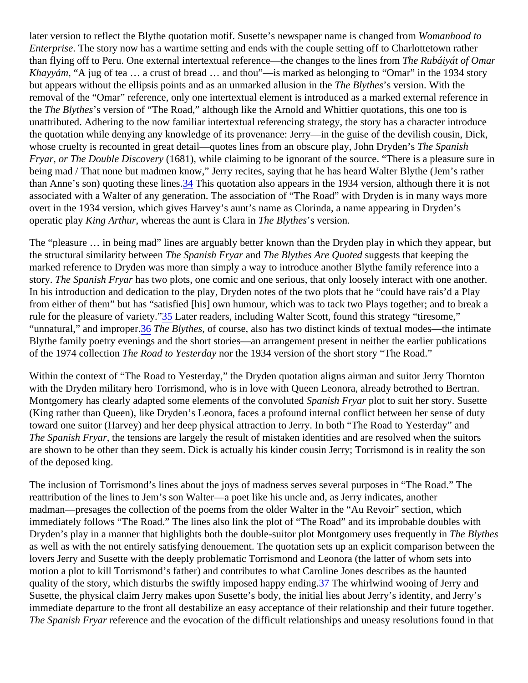<span id="page-8-0"></span>later version to reflect the Blythe quotation motif. Susette's newspaper name is change to to Enterprise. The story now has a wartime setting and ends with the couple setting off to Charlottetown rather than flying off to Peru. One external intertextual reference—the changes to the lines from algorithe of Omar Khayyám, "A jug of tea … a crust of bread … and thou"—is marked as belonging to "Omar" in the 1934 story but appears without the ellipsis points and as an unmarked allusion Tine the Supersion. With the removal of the "Omar" reference, only one intertextual element is introduced as a marked external reference i the The Blythe's version of "The Road," although like the Arnold and Whittier quotations, this one too is unattributed. Adhering to the now familiar intertextual referencing strategy, the story has a character introduce the quotation while denying any knowledge of its provenance: Jerry—in the guise of the devilish cousin, Dick, whose cruelty is recounted in great detail—quotes lines from an obscure play, John Drinde Spanish Fryar, or The Double Discover(1681), while claiming to be ignorant of the source. "There is a pleasure sure in being mad / That none but madmen know," Jerry recites, saying that he has heard Walter Blythe (Jem's rather than Anne's son) quoting these li[nes](#page-11-0). This quotation also appears in the 1934 version, although there it is not associated with a Walter of any generation. The association of "The Road" with Dryden is in many ways more overt in the 1934 version, which gives Harvey's aunt's name as Clorinda, a name appearing in Dryden's operatic play King Arthur, whereas the aunt is Clara The Blythe's version.

The "pleasure ... in being mad" lines are arguably better known than the Dryden play in which they appear, but the structural similarity betweel The Spanish Frya and The Blythes Are Quotesuggests that keeping the marked reference to Dryden was more than simply a way to introduce another Blythe family reference into a story. The Spanish Fryalnas two plots, one comic and one serious, that only loosely interact with one another. In his introduction and dedication to the play, Dryden notes of the two plots that he "could have rais'd a Play from either of them" but has "satisfied [his] own humour, which was to tack two Plays together; and to break a rule for the pleasure of variet  $\frac{35}{2}$  Later readers, including Walter Scott, found this strategy "tiresome," "unnatural," and imprope<sup>[36](#page-11-0)</sup> The Blythes of course, also has two distinct kinds of textual modes—the intimate Blythe family poetry evenings and the short stories—an arrangement present in neither the earlier publication of the 1974 collection The Road to Yesterday nthe 1934 version of the short story "The Road."

Within the context of "The Road to Yesterday," the Dryden quotation aligns airman and suitor Jerry Thornton with the Dryden military hero Torrismond, who is in love with Queen Leonora, already betrothed to Bertran. Montgomery has clearly adapted some elements of the conv**ol predical Spanish Fryar plot to suit her story.** Susette (King rather than Queen), like Dryden's Leonora, faces a profound internal conflict between her sense of duty toward one suitor (Harvey) and her deep physical attraction to Jerry. In both "The Road to Yesterday" and The Spanish Fryarthe tensions are largely the result of mistaken identities and are resolved when the suitors are shown to be other than they seem. Dick is actually his kinder cousin Jerry; Torrismond is in reality the sor of the deposed king.

The inclusion of Torrismond's lines about the joys of madness serves several purposes in "The Road." The reattribution of the lines to Jem's son Walter—a poet like his uncle and, as Jerry indicates, another madman—presages the collection of the poems from the older Walter in the "Au Revoir" section, which immediately follows "The Road." The lines also link the plot of "The Road" and its improbable doubles with Dryden's play in a manner that highlights both the double-suitor plot Montgomery uses frequently Blythes as well as with the not entirely satisfying denouement. The quotation sets up an explicit comparison the tween lovers Jerry and Susette with the deeply problematic Torrismond and Leonora (the latter of whom sets into motion a plot to kill Torrismond's father) and contributes to what Caroline Jones describes as the haunted quality of the story, which disturbs the swiftly imposed happy e[ndin](#page-11-0)g the whirlwind wooing of Jerry and Susette, the physical claim Jerry makes upon Susette's body, the initial lies about Jerry's identity, and Jerry's immediate departure to the front all destabilize an easy acceptance of their relationship and their future togeth The Spanish Fryar eference and the evocation of the difficult relationships and uneasy resolutions found in that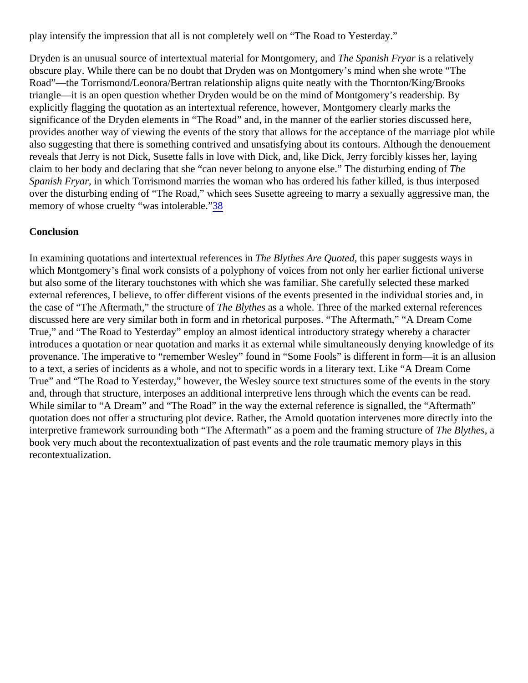<span id="page-9-0"></span>play intensify the impression that all is not completely well on "The Road to Yesterday."

Dryden is an unusual source of intertextual material for Montgomery, manush Fryais a relatively obscure play. While there can be no doubt that Dryden was on Montgomery's mind when she wrote "The Road"—the Torrismond/Leonora/Bertran relationship aligns quite neatly with the Thornton/King/Brooks triangle—it is an open question whether Dryden would be on the mind of Montgomery's readership. By explicitly flagging the quotation as an intertextual reference, however, Montgomery clearly marks the significance of the Dryden elements in "The Road" and, in the manner of the earlier stories discussed here, provides another way of viewing the events of the story that allows for the acceptance of the marriage plot wh also suggesting that there is something contrived and unsatisfying about its contours. Although the denouement reveals that Jerry is not Dick, Susette falls in love with Dick, and, like Dick, Jerry forcibly kisses her, laying claim to her body and declaring that she "can never belong to anyone else." The disturbing enthang of Spanish Fryarin which Torrismond marries the woman who has ordered his father killed, is thus interposed over the disturbing ending of "The Road," which sees Susette agreeing to marry a sexually aggressive man, t memory of whose cruelty "was intolerables"

### **Conclusion**

In examining quotations and intertextual referenceshie Blythes Are Quotethis paper suggests ways in which Montgomery's final work consists of a polyphony of voices from not only her earlier fictional universe but also some of the literary touchstones with which she was familiar. She carefully selected these marked external references, I believe, to offer different visions of the events presented in the individual stories and, in the case of "The Aftermath," the structure To the Blythes as a whole. Three of the marked external references discussed here are very similar both in form and in rhetorical purposes. "The Aftermath," "A Dream Come True," and "The Road to Yesterday" employ an almost identical introductory strategy whereby a character introduces a quotation or near quotation and marks it as external while simultaneously denying knowledge of provenance. The imperative to "remember Wesley" found in "Some Fools" is different in form—it is an allusion to a text, a series of incidents as a whole, and not to specific words in a literary text. Like "A Dream Come True" and "The Road to Yesterday," however, the Wesley source text structures some of the events in the story and, through that structure, interposes an additional interpretive lens through which the events can be read. While similar to "A Dream" and "The Road" in the way the external reference is signalled, the "Aftermath" quotation does not offer a structuring plot device. Rather, the Arnold quotation intervenes more directly into th interpretive framework surrounding both "The Aftermath" as a poem and the framing structure blythesa book very much about the recontextualization of past events and the role traumatic memory plays in this recontextualization.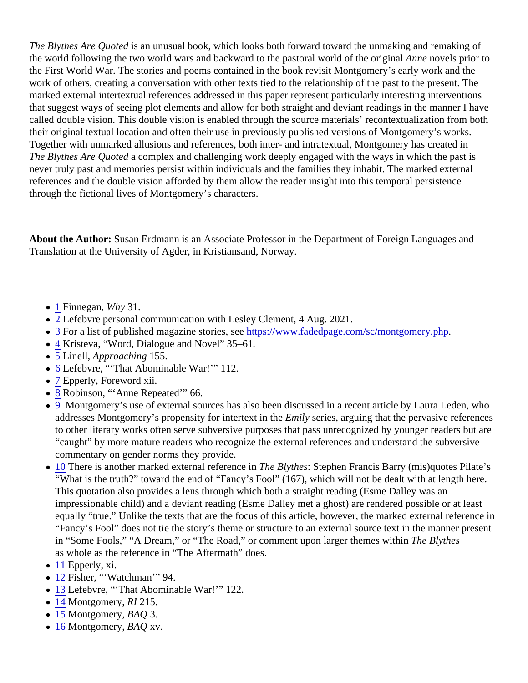<span id="page-10-0"></span>The Blythes Are Quoted an unusual book, which looks both forward toward the unmaking and remaking of the world following the two world wars and backward to the pastoral world of the original hovels prior to the First World War. The stories and poems contained in the book revisit Montgomery's early work and the work of others, creating a conversation with other texts tied to the relationship of the past to the present. The marked external intertextual references addressed in this paper represent particularly interesting interventions that suggest ways of seeing plot elements and allow for both straight and deviant readings in the manner I ha called double vision. This double vision is enabled through the source materials' recontextualization from both their original textual location and often their use in previously published versions of Montgomery's works. Together with unmarked allusions and references, both inter- and intratextual, Montgomery has created in The Blythes Are Quoted complex and challenging work deeply engaged with the ways in which the past is never truly past and memories persist within individuals and the families they inhabit. The marked external references and the double vision afforded by them allow the reader insight into this temporal persistence through the fictional lives of Montgomery's characters.

About the Author: Susan Erdmann is an Associate Professor in the Department of Foreign Languages and Translation at the University of Agder, in Kristiansand, Norway.

- [1](#page-0-0) Finnegan, Why 31.
- [2](#page-0-0) Lefebvre personal communication with Lesley Clement, 4 Aug. 2021.
- [3](#page-0-0) For a list of published magazine stories, steps://www.fadedpage.com/sc/montgomery.php
- [4](#page-1-0) Kristeva, "Word, Dialogue and Novel" 35–61.
- $\bullet$  [5](#page-1-0) Linell, Approaching 155.
- [6](#page-1-0) Lefebvre, "That Abominable War!" 112.
- [7](#page-1-0) Epperly, Foreword xii.
- [8](#page-2-0) Robinson, "Anne Repeated" 66.
- [9](#page-2-0) Montgomery's use of external sources has also been discussed in a recent article by Laura Leden, w addresses Montgomery's propensity for intertext in Elmily series, arguing that the pervasive references to other literary works often serve subversive purposes that pass unrecognized by younger readers but "caught" by more mature readers who recognize the external references and understand the subversive commentary on gender norms they provide.
- [10](#page-2-0) There is another marked external referencehie BlythesStephen Francis Barry (mis)quotes Pilate's "What is the truth?" toward the end of "Fancy's Fool" (167), which will not be dealt with at length here. This quotation also provides a lens through which both a straight reading (Esme Dalley was an impressionable child) and a deviant reading (Esme Dalley met a ghost) are rendered possible or at leas equally "true." Unlike the texts that are the focus of this article, however, the marked external reference "Fancy's Fool" does not tie the story's theme or structure to an external source text in the manner prese in "Some Fools," "A Dream," or "The Road," or comment upon larger themes wither Blythes as whole as the reference in "The Aftermath" does.
- [11](#page-2-0) Epperly, xi.
- [12](#page-2-0) Fisher, "Watchman" 94.
- [13](#page-2-0) Lefebvre, "That Abominable War!" 122.
- [14](#page-2-0) Montgomery, RI 215.
- [15](#page-2-0) Montgomery, BAQ 3.
- [16](#page-2-0) Montgomery, BAQ xv.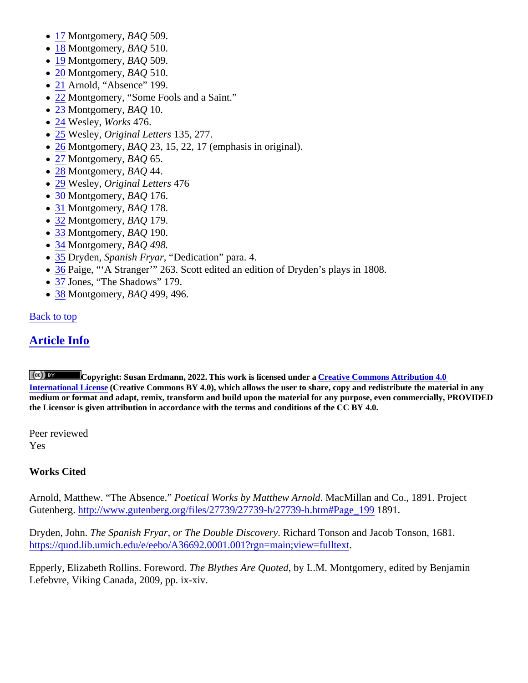- <span id="page-11-0"></span>• [17](#page-3-0) Montgomery, BAQ 509.
- [18](#page-3-0) Montgomery, BAQ 510.
- [19](#page-3-0) Montgomery, BAQ 509.
- [20](#page-3-0) Montgomery, BAQ 510.
- [21](#page-3-0)Arnold, "Absence" 199.
- [22](#page-4-0) Montgomery, "Some Fools and a Saint."
- [23](#page-4-0) Montgomery, BAQ 10.
- [24](#page-4-0) Wesley, Works 476.
- [25](#page-5-0) Wesley, Original Letters 135, 277.
- [26](#page-5-0) Montgomery, BAQ 23, 15, 22, 17 (emphasis in original).
- [27](#page-5-0) Montgomery, BAQ 65.
- [28](#page-5-0) Montgomery, BAQ 44.
- [29](#page-5-0) Wesley, Original Letters 476
- [30](#page-6-0) Montgomery, BAQ 176.
- [31](#page-6-0) Montgomery, BAQ 178.
- [32](#page-6-0) Montgomery, BAQ 179.
- [33](#page-7-0) Montgomery, BAQ 190.
- [34](#page-8-0) Montgomery, BAQ 498.
- [35](#page-8-0) Dryden, Spanish Fryar "Dedication" para. 4.
- [36](#page-8-0) Paige, "'A Stranger'" 263. Scott edited an edition of Dryden's plays in 1808.
- [37](#page-8-0)Jones, "The Shadows" 179.
- [38](#page-9-0) Montgomery, BAQ 499, 496.

#### Back to top

## Article Info

Copyright: Susan Erdmann, 2022. This work is licensed under aCreative Commons Attribution 4.0 [International License](http://creativecommons.org/licenses/by/4.0/) (Creative Commons BY 4.0), which allows the user to share, copy and redistribute the material in any medium or format and adapt, remix, transform and build upon the material for any purpose, even commercially, PROVIDED the Licensor is given attribution in accordance with the terms and conditions of the CC BY 4.0.

Peer reviewed Yes

#### Works Cited

Arnold, Matthew. "The AbsencePoetical Works by Matthew ArnolMacMillan and Co., 1891. Project Gutenberghttp://www.gutenberg.org/files/27739/27739-h/27739-h.htm#Page1899.

Dryden, John The Spanish Fryar, or The Double Discove Rychard Tonson and Jacob Tonson, 1681. [https://quod.lib.umich.edu/e/eebo/A36692.0001.001?rgn=main;view=fu](https://quod.lib.umich.edu/e/eebo/A36692.0001.001?rgn=main;view=fulltext)lltext .

Epperly, Elizabeth Rollins. Forewordhe Blythes Are Quotedy L.M. Montgomery, edited by Benjamin Lefebvre, Viking Canada, 2009, pp. ix-xiv.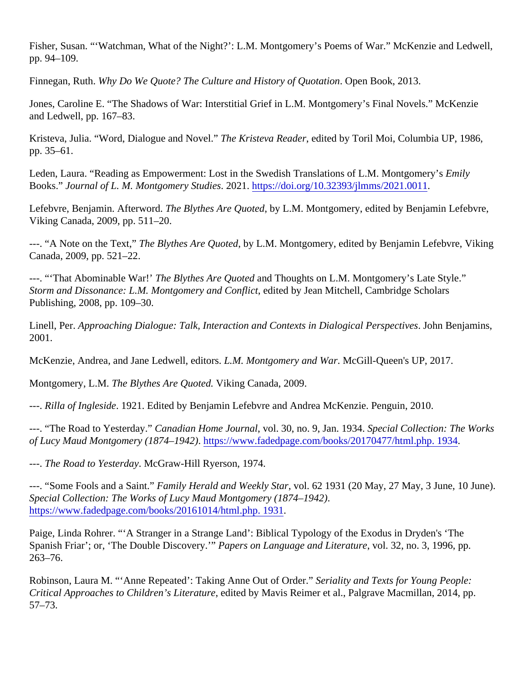Fisher, Susan. "'Watchman, What of the Night?': L.M. Montgomery's Poems of War." McKenzie and Ledwell, pp. 94–109.

Finnegan, RuthWhy Do We Quote? The Culture and History of Quotatomen Book, 2013.

Jones, Caroline E. "The Shadows of War: Interstitial Grief in L.M. Montgomery's Final Novels." McKenzie and Ledwell, pp. 167–83.

Kristeva, Julia. "Word, Dialogue and Novel. The Kristeva Readeedited by Toril Moi, Columbia UP, 1986, pp. 35–61.

Leden, Laura. "Reading as Empowerment: Lost in the Swedish Translations of L.M. Montgo Emeily's Books." Journal of L. M. Montgomery Studie 2021.https://doi.org/10.32393/jlmms/2021.0011

Lefebvre, Benjamin. Afterword The Blythes Are Quotedy L.M. Montgomery, edited by Benjamin Lefebvre, Viking Canada, 2009, pp. 511–20.

---. "A Note on the Text, The Blythes Are Quoteby L.M. Montgomery, edited by Benjamin Lefebvre, Viking Canada, 2009, pp. 521–22.

---. "That Abominable War! The Blythes Are Quotented Thoughts on L.M. Montgomery's Late Style." Storm and Dissonance: L.M. Montgomery and Conflected by Jean Mitchell, Cambridge Scholars Publishing, 2008, pp. 109–30.

Linell, Per. Approaching Dialogue: Talk, Interaction and Contexts in Dialogical Perspectives Benjamins, 2001.

McKenzie, Andrea, and Jane Ledwell, editor. M. Montgomery and WaMcGill-Queen's UP, 2017.

Montgomery, L.M. The Blythes Are Quote diking Canada, 2009.

---. Rilla of Ingleside 1921. Edited by Benjamin Lefebvre and Andrea McKenzie. Penguin, 2010.

---. "The Road to YesterdayCanadian Home Journavol. 30, no. 9, Jan. 1938 pecial Collection: The Works of Lucy Maud Montgomery (1874–1942) the strive fadedpage.com/books/20170477/html.php. 1934

---. The Road to YesterdaMcGraw-Hill Ryerson, 1974.

---. "Some Fools and a Sain Family Herald and Weekly Starol. 62 1931 (20 May, 27 May, 3 June, 10 June). Special Collection: The Works of Lucy Maud Montgom (£874–1942). [https://www.fadedpage.com/books/20161014/html.php.](https://www.fadedpage.com/books/20161014/html.php. 1931) 1931

Paige, Linda Rohrer. "'A Stranger in a Strange Land': Biblical Typology of the Exodus in Dryden's 'The Spanish Friar'; or, 'The Double Discovery." Papers on Language and Literature d. 32, no. 3, 1996, pp. 263–76.

Robinson, Laura M. "'Anne Repeated': Taking Anne Out of Ord Seriality and Texts for Young People: Critical Approaches to Children's Literaturedited by Mavis Reimer et al., Palgrave Macmillan, 2014, pp. 57–73.